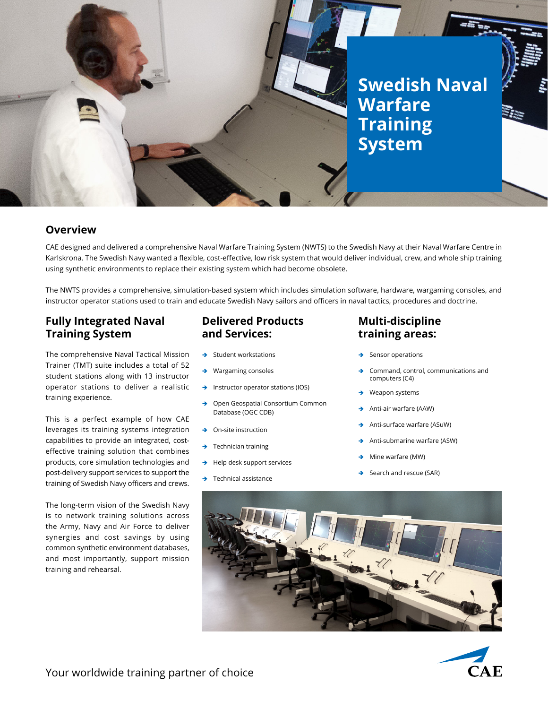

### **Overview**

CAE designed and delivered a comprehensive Naval Warfare Training System (NWTS) to the Swedish Navy at their Naval Warfare Centre in Karlskrona. The Swedish Navy wanted a flexible, cost-effective, low risk system that would deliver individual, crew, and whole ship training using synthetic environments to replace their existing system which had become obsolete.

The NWTS provides a comprehensive, simulation-based system which includes simulation software, hardware, wargaming consoles, and instructor operator stations used to train and educate Swedish Navy sailors and officers in naval tactics, procedures and doctrine.

## **Fully Integrated Naval Training System**

The comprehensive Naval Tactical Mission Trainer (TMT) suite includes a total of 52 student stations along with 13 instructor operator stations to deliver a realistic training experience.

This is a perfect example of how CAE leverages its training systems integration capabilities to provide an integrated, costeffective training solution that combines products, core simulation technologies and post-delivery support services to support the training of Swedish Navy officers and crews.

The long-term vision of the Swedish Navy is to network training solutions across the Army, Navy and Air Force to deliver synergies and cost savings by using common synthetic environment databases, and most importantly, support mission training and rehearsal.

## **Delivered Products and Services:**

- Student workstations
- Wargaming consoles
- $\rightarrow$  Instructor operator stations (IOS)
- → Open Geospatial Consortium Common Database (OGC CDB)
- On-site instruction
- Technician training
- Help desk support services
- Technical assistance

## **Multi-discipline training areas:**

- Sensor operations
- Command, control, communications and computers (C4)
- Weapon systems
- Anti-air warfare (AAW)
- Anti-surface warfare (ASuW)
- Anti-submarine warfare (ASW)
- Mine warfare (MW)
- Search and rescue (SAR)